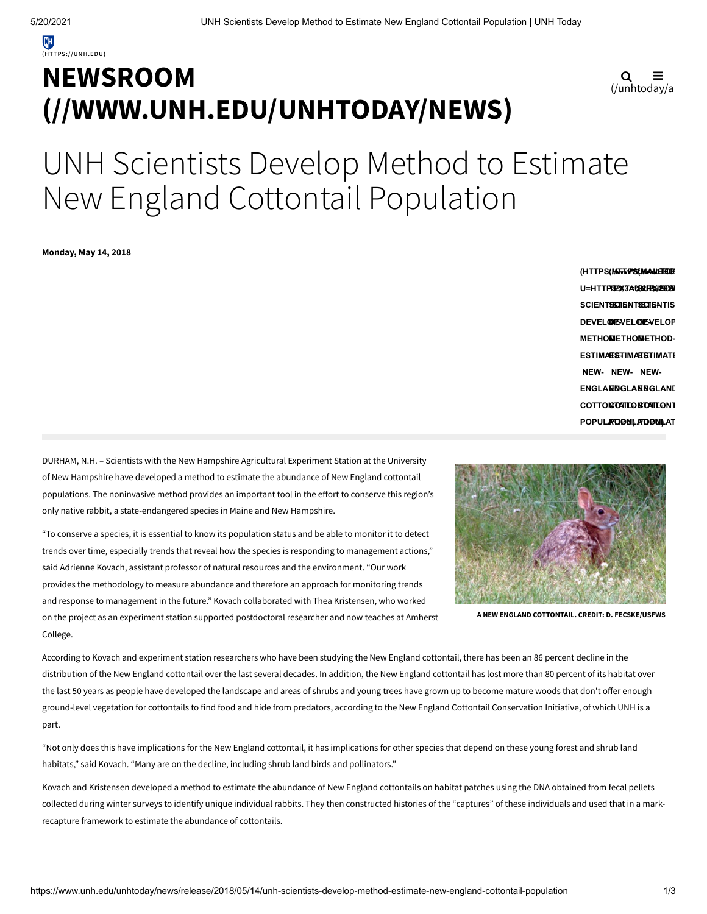# **NEWSROOM [\(//WWW.UNH.EDU/UNHTODAY/NEWS\)](https://www.unh.edu/unhtoday/news)**

$$
\mathbf{Q} \equiv
$$
  
(/unhtoday/a

# UNH Scientists Develop Method to Estimate New England Cottontail Population

**Monday, May 14, 2018**

**(HTTPS://WWW.FACEBO (MAILTO:? (HTTPS(HATTPIS(MAANEHBOE)<br>U=HTTPREXJA&BOUPEXJ20DBI SCIENTISTS-SCIENTISTS-SCIENTIS DEVELOP-DEVELOP-DEVELOP METHOD-METHOD-METHOD-ESTIMATE-ESTIMATE-ESTIMATE NEW-NEW-NEW-** $\mathsf{ENGLABNGLARI}$ **COTTONTAIL-COTTONTAIL-COTTONT POPULATION) POPULATION) POPULAT**

DURHAM, N.H. – Scientists with the New Hampshire Agricultural Experiment Station at the University of New Hampshire have developed a method to estimate the abundance of New England cottontail populations. The noninvasive method provides an important tool in the effort to conserve this region's only native rabbit, a state-endangered species in Maine and New Hampshire.

"To conserve a species, it is essential to know its population status and be able to monitor it to detect trends over time, especially trends that reveal how the species is responding to management actions," said Adrienne Kovach, assistant professor of natural resources and the environment. "Our work provides the methodology to measure abundance and therefore an approach for monitoring trends and response to management in the future." Kovach collaborated with Thea Kristensen, who worked on the project as an experiment station supported postdoctoral researcher and now teaches at Amherst College.



**A NEW ENGLAND COTTONTAIL. CREDIT: D. FECSKE/USFWS**

According to Kovach and experiment station researchers who have been studying the New England cottontail, there has been an 86 percent decline in the distribution of the New England cottontail over the last several decades. In addition, the New England cottontail has lost more than 80 percent of its habitat over the last 50 years as people have developed the landscape and areas of shrubs and young trees have grown up to become mature woods that don't offer enough ground-level vegetation for cottontails to find food and hide from predators, according to the New England Cottontail Conservation Initiative, of which UNH is a part.

"Not only does this have implications for the New England cottontail, it has implications for other species that depend on these young forest and shrub land habitats," said Kovach. "Many are on the decline, including shrub land birds and pollinators."

Kovach and Kristensen developed a method to estimate the abundance of New England cottontails on habitat patches using the DNA obtained from fecal pellets collected during winter surveys to identify unique individual rabbits. They then constructed histories of the "captures" of these individuals and used that in a markrecapture framework to estimate the abundance of cottontails.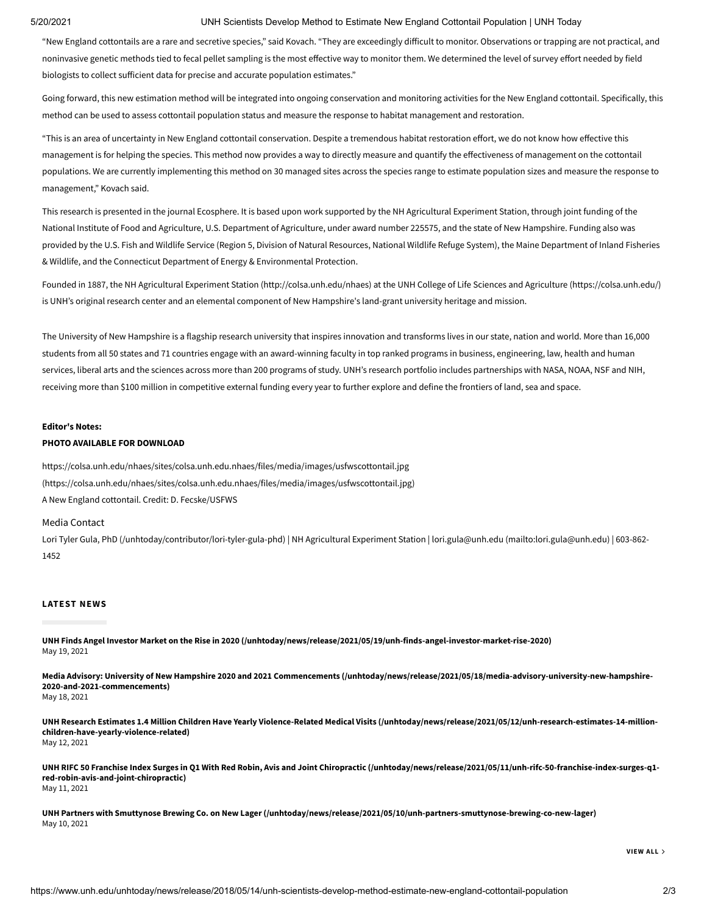## 5/20/2021 UNH Scientists Develop Method to Estimate New England Cottontail Population | UNH Today

"New England cottontails are a rare and secretive species," said Kovach. "They are exceedingly difficult to monitor. Observations or trapping are not practical, and noninvasive genetic methods tied to fecal pellet sampling is the most effective way to monitor them. We determined the level of survey effort needed by field biologists to collect sufficient data for precise and accurate population estimates."

Going forward, this new estimation method will be integrated into ongoing conservation and monitoring activities for the New England cottontail. Specifically, this method can be used to assess cottontail population status and measure the response to habitat management and restoration.

"This is an area of uncertainty in New England cottontail conservation. Despite a tremendous habitat restoration effort, we do not know how effective this management is for helping the species. This method now provides a way to directly measure and quantify the effectiveness of management on the cottontail populations. We are currently implementing this method on 30 managed sites across the species range to estimate population sizes and measure the response to management," Kovach said.

This research is presented in the journal Ecosphere. It is based upon work supported by the NH Agricultural Experiment Station, through joint funding of the National Institute of Food and Agriculture, U.S. Department of Agriculture, under award number 225575, and the state of New Hampshire. Funding also was provided by the U.S. Fish and Wildlife Service (Region 5, Division of Natural Resources, National Wildlife Refuge System), the Maine Department of Inland Fisheries & Wildlife, and the Connecticut Department of Energy & Environmental Protection.

Founded in 1887, the NH Agricultural Experiment Station [\(http://colsa.unh.edu/nhaes\)](http://colsa.unh.edu/nhaes) at the UNH College of Life Sciences and Agriculture [\(https://colsa.unh.edu/\)](https://colsa.unh.edu/) is UNH's original research center and an elemental component of New Hampshire's land-grant university heritage and mission.

The University of New Hampshire is a flagship research university that inspires innovation and transforms lives in our state, nation and world. More than 16,000 students from all 50 states and 71 countries engage with an award-winning faculty in top ranked programs in business, engineering, law, health and human services, liberal arts and the sciences across more than 200 programs of study. UNH's research portfolio includes partnerships with NASA, NOAA, NSF and NIH, receiving more than \$100 million in competitive external funding every year to further explore and define the frontiers of land, sea and space.

#### **Editor's Notes:**

## **PHOTO AVAILABLE FOR DOWNLOAD**

<https://colsa.unh.edu/nhaes/sites/colsa.unh.edu.nhaes/files/media/images/usfwscottontail.jpg> (https://colsa.unh.edu/nhaes/sites/colsa.unh.edu.nhaes/files/media/images/usfwscottontail.jpg) A New England cottontail. Credit: D. Fecske/USFWS

#### Media Contact

Lori Tyler Gula, PhD [\(/unhtoday/contributor/lori-tyler-gula-phd\)](https://www.unh.edu/unhtoday/contributor/lori-tyler-gula-phd) | NH Agricultural Experiment Station | lori.gula@unh.edu [\(mailto:lori.gula@unh.edu\)](mailto:lori.gula@unh.edu) | 603-862- 1452

### **LATEST NEWS**

**[UNH Finds Angel Investor Market on the Rise in 2020 \(/unhtoday/news/release/2021/05/19/unh-finds-angel-investor-market-rise-2020\)](https://www.unh.edu/unhtoday/news/release/2021/05/19/unh-finds-angel-investor-market-rise-2020)** May 19, 2021

**[Media Advisory: University of New Hampshire 2020 and 2021 Commencements \(/unhtoday/news/release/2021/05/18/media-advisory-university-new-hampshire-](https://www.unh.edu/unhtoday/news/release/2021/05/18/media-advisory-university-new-hampshire-2020-and-2021-commencements)2020-and-2021-commencements)** May 18, 2021

**[UNH Research Estimates 1.4 Million Children Have Yearly Violence-Related Medical Visits \(/unhtoday/news/release/2021/05/12/unh-research-estimates-14-million](https://www.unh.edu/unhtoday/news/release/2021/05/12/unh-research-estimates-14-million-children-have-yearly-violence-related)children-have-yearly-violence-related)** May 12, 2021

**[UNH RIFC 50 Franchise Index Surges in Q1 With Red Robin, Avis and Joint Chiropractic \(/unhtoday/news/release/2021/05/11/unh-rifc-50-franchise-index-surges-q1](https://www.unh.edu/unhtoday/news/release/2021/05/11/unh-rifc-50-franchise-index-surges-q1-red-robin-avis-and-joint-chiropractic) red-robin-avis-and-joint-chiropractic)** May 11, 2021

**[UNH Partners with Smuttynose Brewing Co. on New Lager \(/unhtoday/news/release/2021/05/10/unh-partners-smuttynose-brewing-co-new-lager\)](https://www.unh.edu/unhtoday/news/release/2021/05/10/unh-partners-smuttynose-brewing-co-new-lager)** May 10, 2021

**[VIEW](https://www.unh.edu/unhtoday/news) ALL**